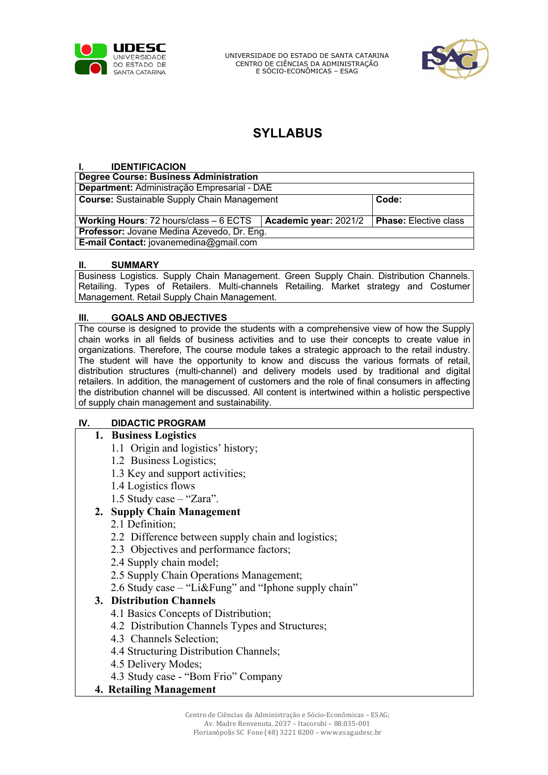

UNIVERSIDADE DO ESTADO DE SANTA CATARINA CENTRO DE CIÊNCIAS DA ADMINISTRAÇÃO E SÓCIO-ECONÔMICAS – ESAG



# **SYLLABUS**

#### **I. IDENTIFICACION**

| <b>Degree Course: Business Administration</b>      |                       |                              |
|----------------------------------------------------|-----------------------|------------------------------|
| Department: Administração Empresarial - DAE        |                       |                              |
| <b>Course:</b> Sustainable Supply Chain Management |                       | Code:                        |
|                                                    |                       |                              |
| <b>Working Hours:</b> 72 hours/class $-6$ ECTS     | Academic year: 2021/2 | <b>Phase:</b> Elective class |
| Professor: Jovane Medina Azevedo, Dr. Eng.         |                       |                              |
| E-mail Contact: jovanemedina@gmail.com             |                       |                              |

#### **II. SUMMARY**

Business Logistics. Supply Chain Management. Green Supply Chain. Distribution Channels. Retailing. Types of Retailers. Multi-channels Retailing. Market strategy and Costumer Management. Retail Supply Chain Management.

#### **III. GOALS AND OBJECTIVES**

The course is designed to provide the students with a comprehensive view of how the Supply chain works in all fields of business activities and to use their concepts to create value in organizations. Therefore, The course module takes a strategic approach to the retail industry. The student will have the opportunity to know and discuss the various formats of retail, distribution structures (multi-channel) and delivery models used by traditional and digital retailers. In addition, the management of customers and the role of final consumers in affecting the distribution channel will be discussed. All content is intertwined within a holistic perspective of supply chain management and sustainability.

#### **IV. DIDACTIC PROGRAM**

#### **1. Business Logistics**

- 1.1 Origin and logistics' history;
- 1.2 Business Logistics;
- 1.3 Key and support activities;
- 1.4 Logistics flows
- 1.5 Study case "Zara".

#### **2. Supply Chain Management**

- 2.1 Definition;
- 2.2 Difference between supply chain and logistics;
- 2.3 Objectives and performance factors;
- 2.4 Supply chain model;
- 2.5 Supply Chain Operations Management;
- 2.6 Study case "Li&Fung" and "Iphone supply chain"

#### **3. Distribution Channels**

- 4.1 Basics Concepts of Distribution;
- 4.2 Distribution Channels Types and Structures;
- 4.3 Channels Selection;
- 4.4 Structuring Distribution Channels;
- 4.5 Delivery Modes;
- 4.3 Study case "Bom Frio" Company

#### **4. Retailing Management**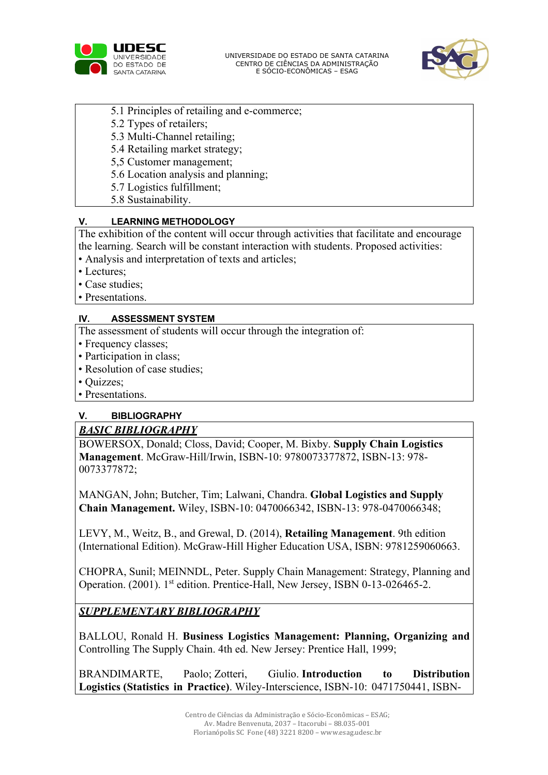



- 5.1 Principles of retailing and e-commerce;
- 5.2 Types of retailers;
- 5.3 Multi-Channel retailing;
- 5.4 Retailing market strategy;
- 5,5 Customer management;
- 5.6 Location analysis and planning;
- 5.7 Logistics fulfillment;
- 5.8 Sustainability.

### **V. LEARNING METHODOLOGY**

The exhibition of the content will occur through activities that facilitate and encourage the learning. Search will be constant interaction with students. Proposed activities:

- Analysis and interpretation of texts and articles;
- Lectures;
- Case studies;
- Presentations.

### **IV. ASSESSMENT SYSTEM**

The assessment of students will occur through the integration of:

- Frequency classes;
- Participation in class;
- Resolution of case studies;
- Quizzes;
- Presentations.

# **V. BIBLIOGRAPHY**

## *BASIC BIBLIOGRAPHY*

BOWERSOX, Donald; Closs, David; Cooper, M. Bixby. **Supply Chain Logistics Management**. McGraw-Hill/Irwin, ISBN-10: 9780073377872, ISBN-13: 978- 0073377872;

MANGAN, John; Butcher, Tim; Lalwani, Chandra. **Global Logistics and Supply Chain Management.** Wiley, ISBN-10: 0470066342, ISBN-13: 978-0470066348;

LEVY, M., Weitz, B., and Grewal, D. (2014), **Retailing Management**. 9th edition (International Edition). McGraw-Hill Higher Education USA, ISBN: 9781259060663.

CHOPRA, Sunil; MEINNDL, Peter. Supply Chain Management: Strategy, Planning and Operation. (2001). 1<sup>st</sup> edition. Prentice-Hall, New Jersey, ISBN 0-13-026465-2.

# *SUPPLEMENTARY BIBLIOGRAPHY*

BALLOU, Ronald H. **Business Logistics Management: Planning, Organizing and** Controlling The Supply Chain. 4th ed. New Jersey: Prentice Hall, 1999;

BRANDIMARTE, Paolo; Zotteri, Giulio. **Introduction to Distribution Logistics (Statistics in Practice)**. Wiley-Interscience, ISBN-10: 0471750441, ISBN-